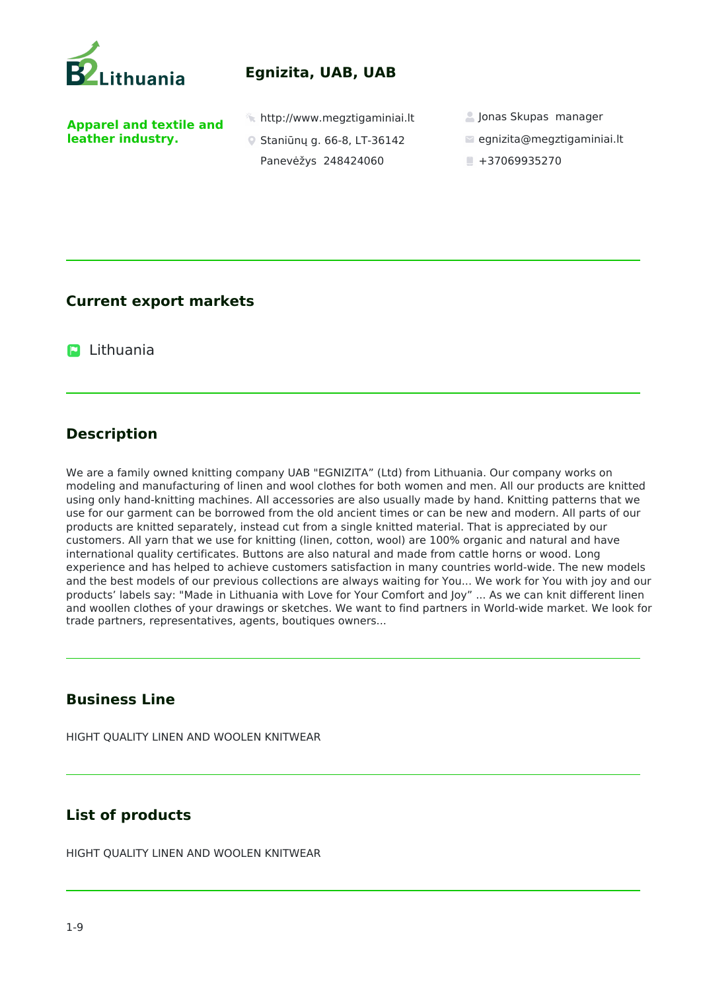

# **Egnizita, UAB, UAB**

**Apparel and textile and leather industry.** 

 $\hat{\mathbb{Z}}$  http://www.megztigaminiai.lt  $\hat{\mathbb{Z}}$  Jonas Skupas manager

- Staniūnų g. 66-8, LT-36142 Panevėžys 248424060
- 
- egnizita@megztigaminiai.lt
- $+37069935270$

## **Current export markets**

**D** Lithuania

## **Description**

We are a family owned knitting company UAB "EGNIZITA" (Ltd) from Lithuania. Our company works on modeling and manufacturing of linen and wool clothes for both women and men. All our products are knitted using only hand-knitting machines. All accessories are also usually made by hand. Knitting patterns that we use for our garment can be borrowed from the old ancient times or can be new and modern. All parts of our products are knitted separately, instead cut from a single knitted material. That is appreciated by our customers. All yarn that we use for knitting (linen, cotton, wool) are 100% organic and natural and have international quality certificates. Buttons are also natural and made from cattle horns or wood. Long experience and has helped to achieve customers satisfaction in many countries world-wide. The new models and the best models of our previous collections are always waiting for You... We work for You with joy and our products' labels say: "Made in Lithuania with Love for Your Comfort and Joy" ... As we can knit different linen and woollen clothes of your drawings or sketches. We want to find partners in World-wide market. We look for trade partners, representatives, agents, boutiques owners...

## **Business Line**

HIGHT QUALITY LINEN AND WOOLEN KNITWEAR

## **List of products**

HIGHT QUALITY LINEN AND WOOLEN KNITWEAR